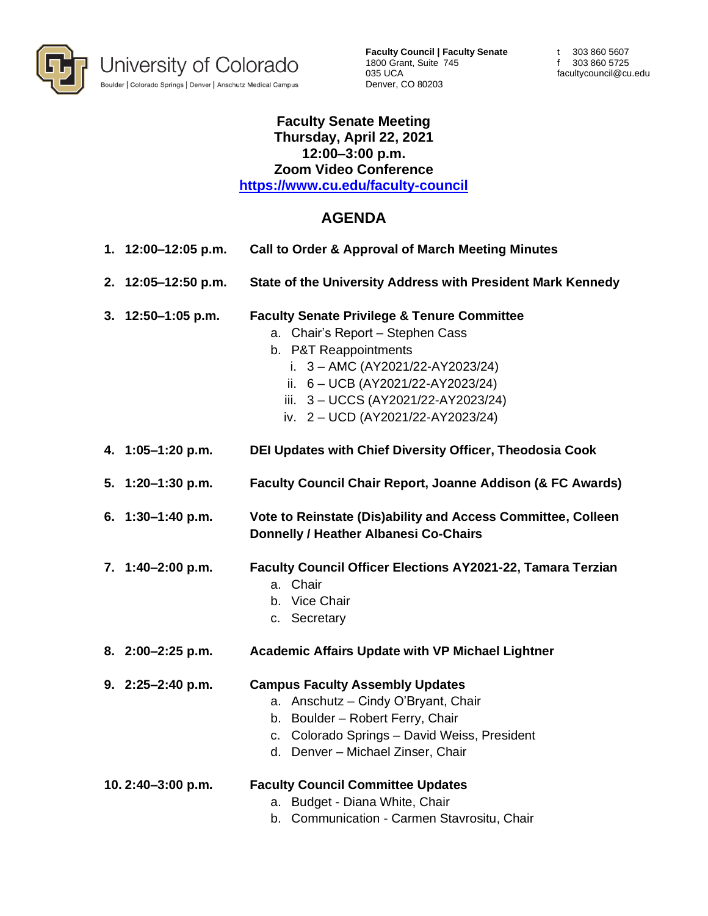

**Faculty Council | Faculty Senate** 1800 Grant, Suite 745 035 UCA Denver, CO 80203

t 303 860 5607 f 303 860 5725 facultycouncil@cu.edu

## **Faculty Senate Meeting Thursday, April 22, 2021 12:00–3:00 p.m. Zoom Video Conference <https://www.cu.edu/faculty-council>**

## **AGENDA**

- **1. 12:00–12:05 p.m. Call to Order & Approval of March Meeting Minutes**
- **2. 12:05–12:50 p.m. State of the University Address with President Mark Kennedy**
- **3. 12:50–1:05 p.m. Faculty Senate Privilege & Tenure Committee**
	- a. Chair's Report Stephen Cass
	- b. P&T Reappointments
		- i. 3 AMC (AY2021/22-AY2023/24)
		- ii. 6 UCB (AY2021/22-AY2023/24)
		- iii. 3 UCCS (AY2021/22-AY2023/24)
		- iv. 2 UCD (AY2021/22-AY2023/24)
- **4. 1:05–1:20 p.m. DEI Updates with Chief Diversity Officer, Theodosia Cook**
- **5. 1:20–1:30 p.m. Faculty Council Chair Report, Joanne Addison (& FC Awards)**
- **6. 1:30–1:40 p.m. Vote to Reinstate (Dis)ability and Access Committee, Colleen Donnelly / Heather Albanesi Co-Chairs**
- **7. 1:40–2:00 p.m. Faculty Council Officer Elections AY2021-22, Tamara Terzian** a. Chair
	-
	- b. Vice Chair
	- c. Secretary
- **8. 2:00–2:25 p.m. Academic Affairs Update with VP Michael Lightner**
- **9. 2:25–2:40 p.m. Campus Faculty Assembly Updates** 
	- a. Anschutz Cindy O'Bryant, Chair
	- b. Boulder Robert Ferry, Chair
	- c. Colorado Springs David Weiss, President
	- d. Denver Michael Zinser, Chair
- **10. 2:40–3:00 p.m. Faculty Council Committee Updates**  a. Budget - Diana White, Chair
	- b. Communication Carmen Stavrositu, Chair